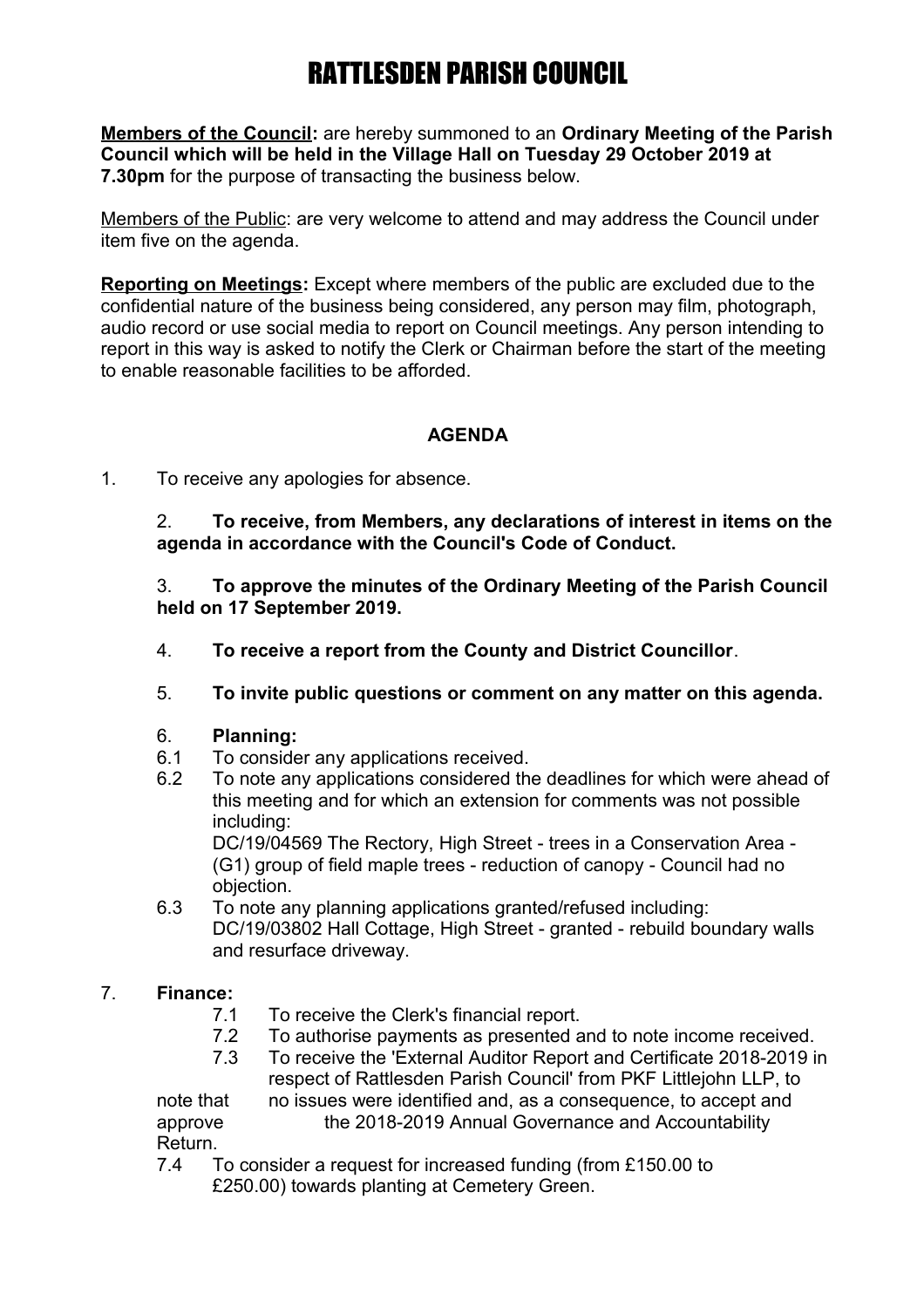**Members of the Council:** are hereby summoned to an **Ordinary Meeting of the Parish Council which will be held in the Village Hall on Tuesday 29 October 2019 at 7.30pm** for the purpose of transacting the business below.

Members of the Public: are very welcome to attend and may address the Council under item five on the agenda.

**Reporting on Meetings:** Except where members of the public are excluded due to the confidential nature of the business being considered, any person may film, photograph, audio record or use social media to report on Council meetings. Any person intending to report in this way is asked to notify the Clerk or Chairman before the start of the meeting to enable reasonable facilities to be afforded.

## **AGENDA**

1. To receive any apologies for absence.

2. **To receive, from Members, any declarations of interest in items on the agenda in accordance with the Council's Code of Conduct.**

3. **To approve the minutes of the Ordinary Meeting of the Parish Council held on 17 September 2019.**

- 4. **To receive a report from the County and District Councillor**.
- 5. **To invite public questions or comment on any matter on this agenda.**

### 6. **Planning:**

- 6.1 To consider any applications received.
- 6.2 To note any applications considered the deadlines for which were ahead of this meeting and for which an extension for comments was not possible including:

DC/19/04569 The Rectory, High Street - trees in a Conservation Area - (G1) group of field maple trees - reduction of canopy - Council had no objection.

6.3 To note any planning applications granted/refused including: DC/19/03802 Hall Cottage, High Street - granted - rebuild boundary walls and resurface driveway.

## 7. **Finance:**

- 7.1 To receive the Clerk's financial report.
- 7.2 To authorise payments as presented and to note income received.
- 7.3 To receive the 'External Auditor Report and Certificate 2018-2019 in respect of Rattlesden Parish Council' from PKF Littlejohn LLP, to

note that no issues were identified and, as a consequence, to accept and approve the 2018-2019 Annual Governance and Accountability Return.

7.4 To consider a request for increased funding (from £150.00 to £250.00) towards planting at Cemetery Green.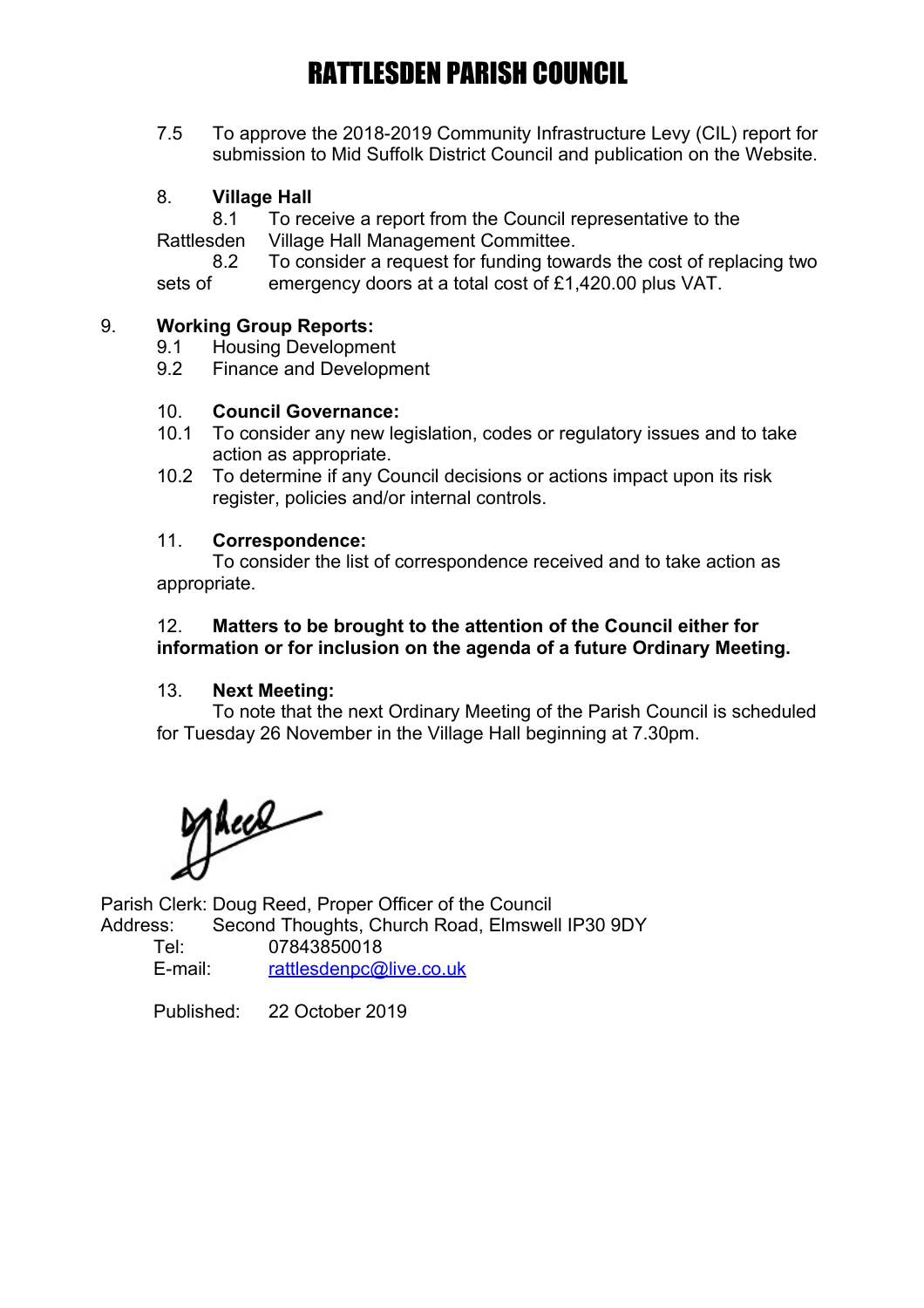7.5 To approve the 2018-2019 Community Infrastructure Levy (CIL) report for submission to Mid Suffolk District Council and publication on the Website.

## 8. **Village Hall**

8.1 To receive a report from the Council representative to the

Rattlesden Village Hall Management Committee.

8.2 To consider a request for funding towards the cost of replacing two

sets of emergency doors at a total cost of £1,420.00 plus VAT.

## 9. **Working Group Reports:**

- 9.1 Housing Development
- 9.2 Finance and Development

### 10. **Council Governance:**

- 10.1 To consider any new legislation, codes or regulatory issues and to take action as appropriate.
- 10.2 To determine if any Council decisions or actions impact upon its risk register, policies and/or internal controls.

### 11. **Correspondence:**

To consider the list of correspondence received and to take action as appropriate.

### 12. **Matters to be brought to the attention of the Council either for information or for inclusion on the agenda of a future Ordinary Meeting.**

### 13. **Next Meeting:**

To note that the next Ordinary Meeting of the Parish Council is scheduled for Tuesday 26 November in the Village Hall beginning at 7.30pm.

Alece

Parish Clerk: Doug Reed, Proper Officer of the Council Address: Second Thoughts, Church Road, Elmswell IP30 9DY

| Tel:    | 07843850018             |
|---------|-------------------------|
| E-mail: | rattlesdenpc@live.co.uk |

Published: 22 October 2019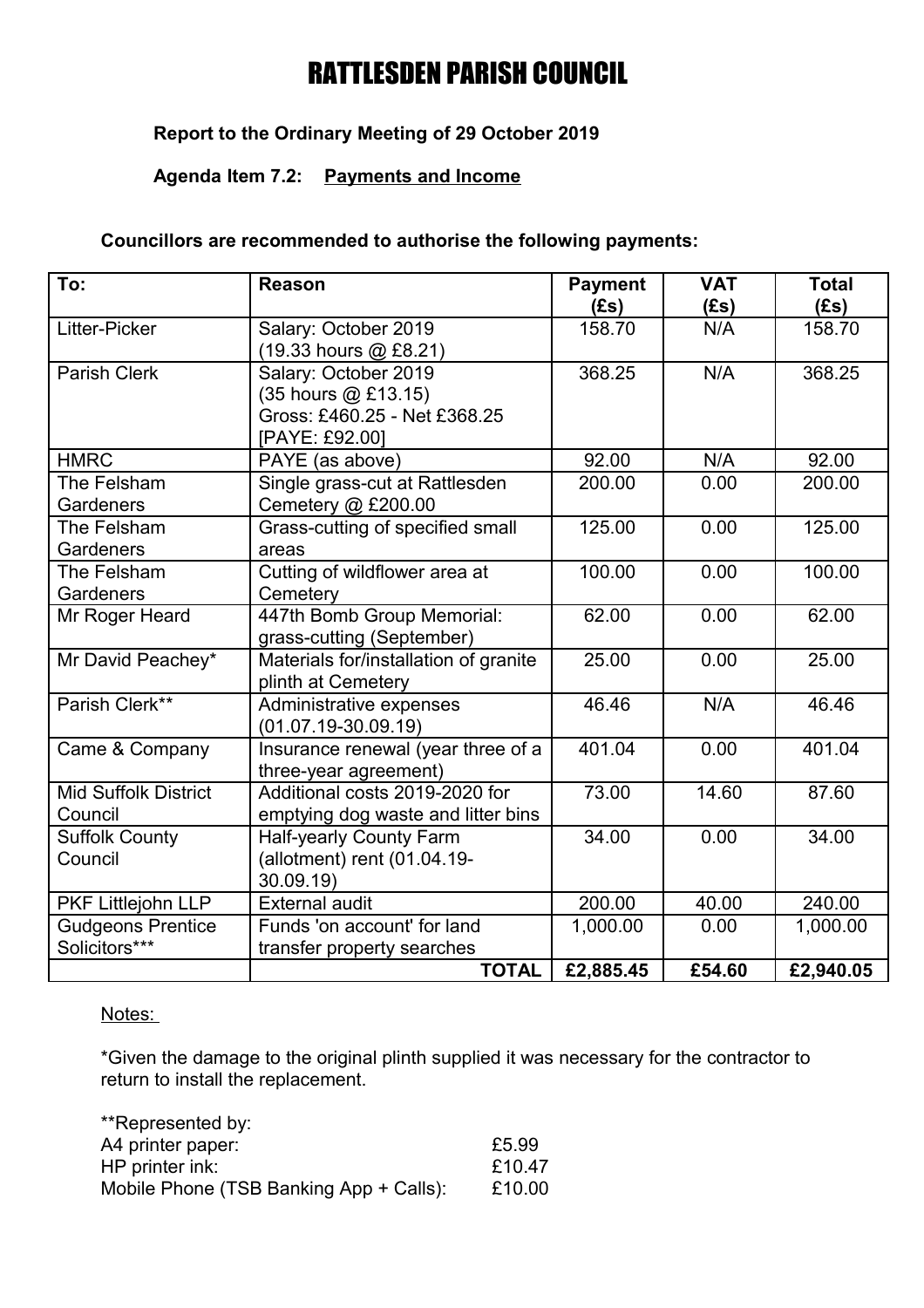# **Report to the Ordinary Meeting of 29 October 2019**

## **Agenda Item 7.2: Payments and Income**

## **Councillors are recommended to authorise the following payments:**

| To:                         | <b>Reason</b>                         | <b>Payment</b> | <b>VAT</b> | <b>Total</b> |
|-----------------------------|---------------------------------------|----------------|------------|--------------|
|                             |                                       | (Es)           | (Es)       | (Es)         |
| Litter-Picker               | Salary: October 2019                  | 158.70         | N/A        | 158.70       |
|                             | (19.33 hours @ £8.21)                 |                |            |              |
| <b>Parish Clerk</b>         | Salary: October 2019                  | 368.25         | N/A        | 368.25       |
|                             | $(35$ hours $@$ £13.15)               |                |            |              |
|                             | Gross: £460.25 - Net £368.25          |                |            |              |
|                             | [PAYE: £92.00]                        |                |            |              |
| <b>HMRC</b>                 | PAYE (as above)                       | 92.00          | N/A        | 92.00        |
| The Felsham                 | Single grass-cut at Rattlesden        | 200.00         | 0.00       | 200.00       |
| Gardeners                   | Cemetery @ £200.00                    |                |            |              |
| The Felsham                 | Grass-cutting of specified small      | 125.00         | 0.00       | 125.00       |
| Gardeners                   | areas                                 |                |            |              |
| The Felsham                 | Cutting of wildflower area at         | 100.00         | 0.00       | 100.00       |
| Gardeners                   | Cemetery                              |                |            |              |
| Mr Roger Heard              | 447th Bomb Group Memorial:            | 62.00          | 0.00       | 62.00        |
|                             | grass-cutting (September)             |                |            |              |
| Mr David Peachey*           | Materials for/installation of granite | 25.00          | 0.00       | 25.00        |
|                             | plinth at Cemetery                    |                |            |              |
| Parish Clerk**              | Administrative expenses               | 46.46          | N/A        | 46.46        |
|                             | $(01.07.19 - 30.09.19)$               |                |            |              |
| Came & Company              | Insurance renewal (year three of a    | 401.04         | 0.00       | 401.04       |
|                             | three-year agreement)                 |                |            |              |
| <b>Mid Suffolk District</b> | Additional costs 2019-2020 for        | 73.00          | 14.60      | 87.60        |
| Council                     | emptying dog waste and litter bins    |                |            |              |
| <b>Suffolk County</b>       | <b>Half-yearly County Farm</b>        | 34.00          | 0.00       | 34.00        |
| Council                     | (allotment) rent (01.04.19-           |                |            |              |
|                             | 30.09.19                              |                |            |              |
| PKF Littlejohn LLP          | <b>External audit</b>                 | 200.00         | 40.00      | 240.00       |
| <b>Gudgeons Prentice</b>    | Funds 'on account' for land           | 1,000.00       | 0.00       | 1,000.00     |
| Solicitors***               | transfer property searches            |                |            |              |
|                             | <b>TOTAL</b>                          | £2,885.45      | £54.60     | £2,940.05    |

### Notes:

\*Given the damage to the original plinth supplied it was necessary for the contractor to return to install the replacement.

| £5.99  |
|--------|
| £10.47 |
| £10.00 |
|        |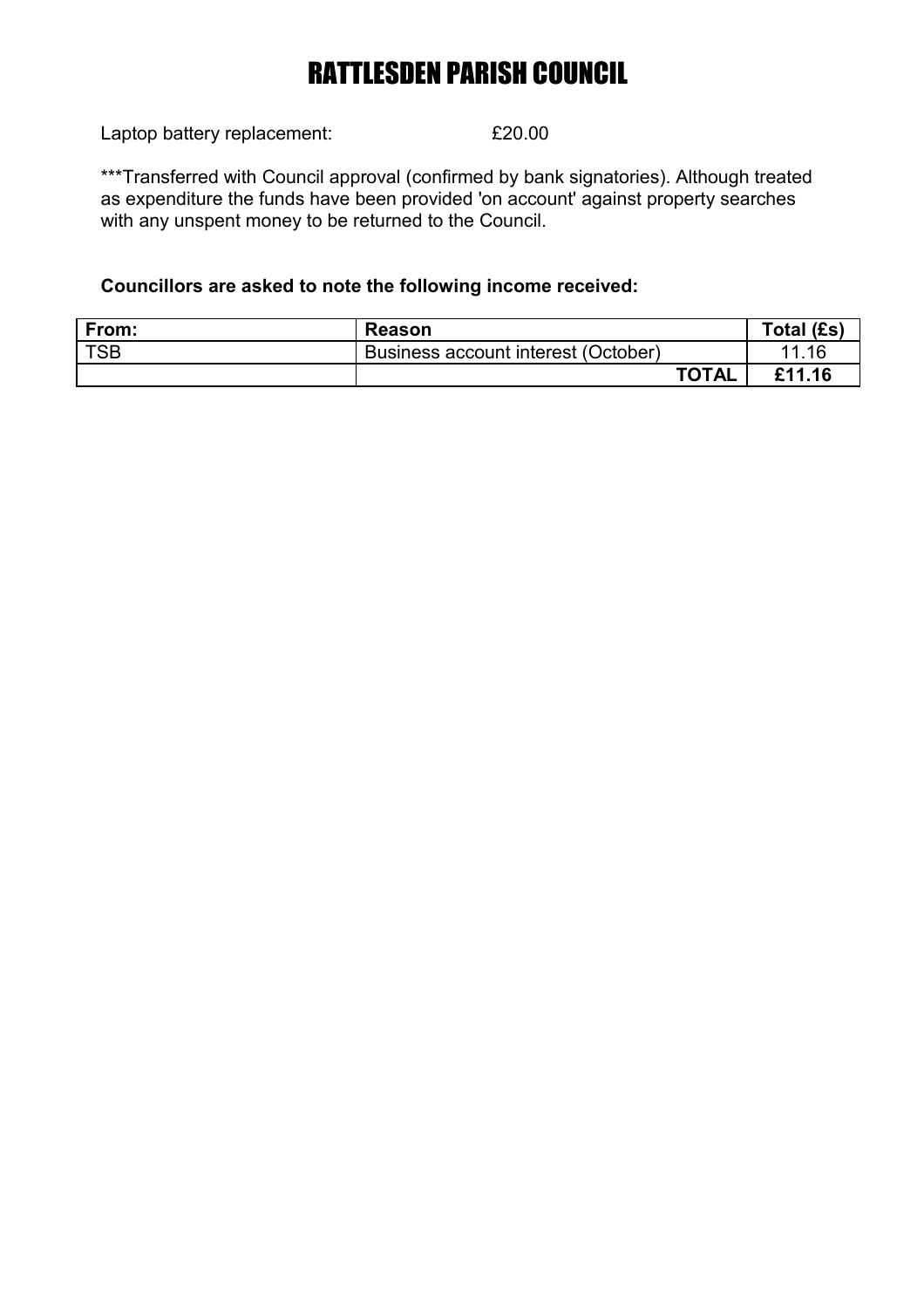Laptop battery replacement:  $£20.00$ 

\*\*\*Transferred with Council approval (confirmed by bank signatories). Although treated as expenditure the funds have been provided 'on account' against property searches with any unspent money to be returned to the Council.

# **Councillors are asked to note the following income received:**

| From:      | <b>Reason</b>                       | Total (£s) |
|------------|-------------------------------------|------------|
| <b>TSB</b> | Business account interest (October) | 11.16      |
|            | <b>TOTAL</b>                        | £11.16     |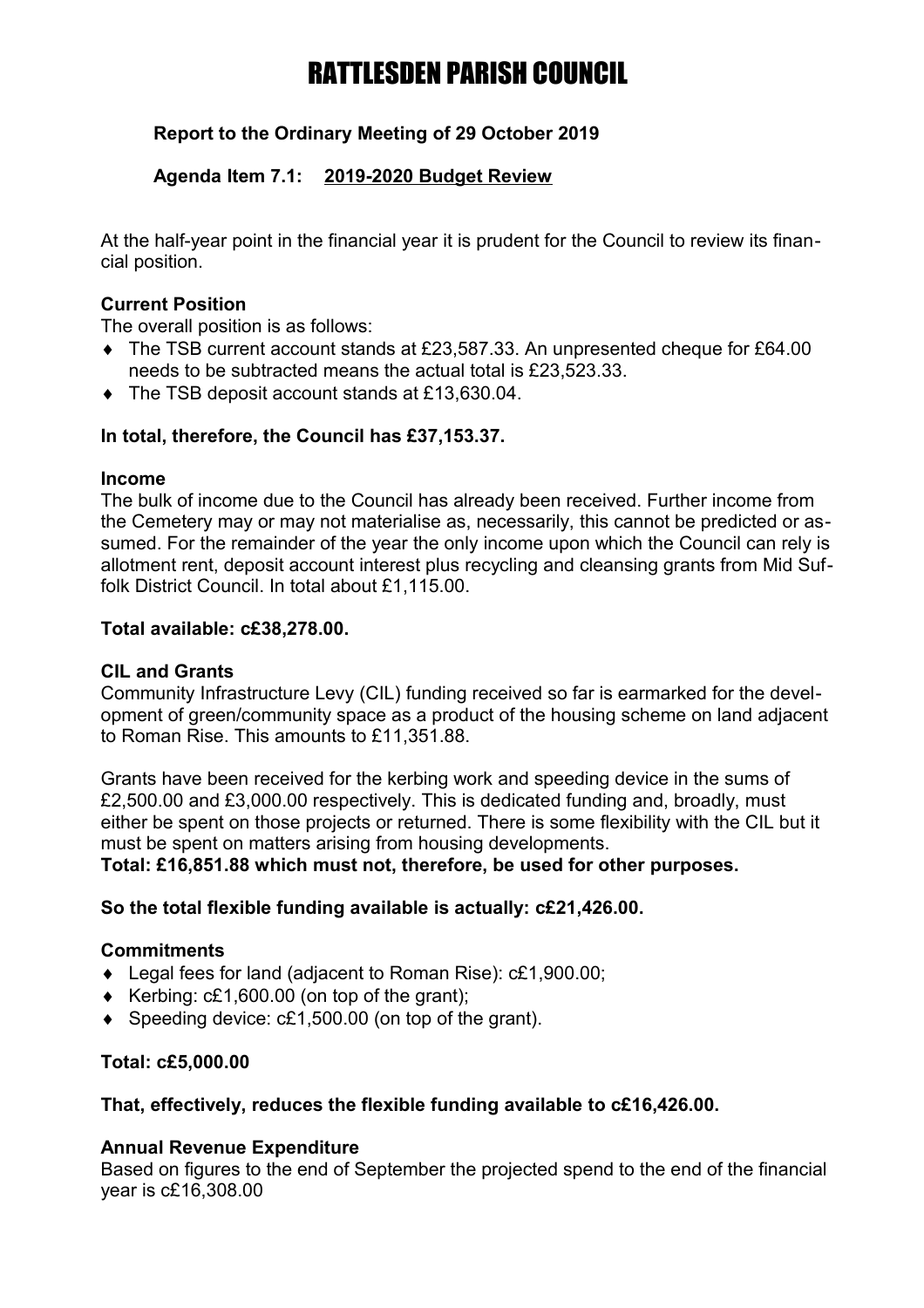# **Report to the Ordinary Meeting of 29 October 2019**

## **Agenda Item 7.1: 2019-2020 Budget Review**

At the half-year point in the financial year it is prudent for the Council to review its financial position.

## **Current Position**

The overall position is as follows:

- The TSB current account stands at £23,587.33. An unpresented cheque for £64.00 needs to be subtracted means the actual total is £23,523.33.
- ◆ The TSB deposit account stands at £13,630,04.

## **In total, therefore, the Council has £37,153.37.**

### **Income**

The bulk of income due to the Council has already been received. Further income from the Cemetery may or may not materialise as, necessarily, this cannot be predicted or assumed. For the remainder of the year the only income upon which the Council can rely is allotment rent, deposit account interest plus recycling and cleansing grants from Mid Suffolk District Council. In total about £1,115.00.

## **Total available: c£38,278.00.**

### **CIL and Grants**

Community Infrastructure Levy (CIL) funding received so far is earmarked for the development of green/community space as a product of the housing scheme on land adjacent to Roman Rise. This amounts to £11,351.88.

Grants have been received for the kerbing work and speeding device in the sums of £2,500.00 and £3,000.00 respectively. This is dedicated funding and, broadly, must either be spent on those projects or returned. There is some flexibility with the CIL but it must be spent on matters arising from housing developments.

**Total: £16,851.88 which must not, therefore, be used for other purposes.**

## **So the total flexible funding available is actually: c£21,426.00.**

### **Commitments**

- Legal fees for land (adjacent to Roman Rise): c£1,900.00;
- Exercing:  $c£1,600.00$  (on top of the grant);
- ◆ Speeding device: c£1,500,00 (on top of the grant).

### **Total: c£5,000.00**

## **That, effectively, reduces the flexible funding available to c£16,426.00.**

### **Annual Revenue Expenditure**

Based on figures to the end of September the projected spend to the end of the financial year is c£16,308.00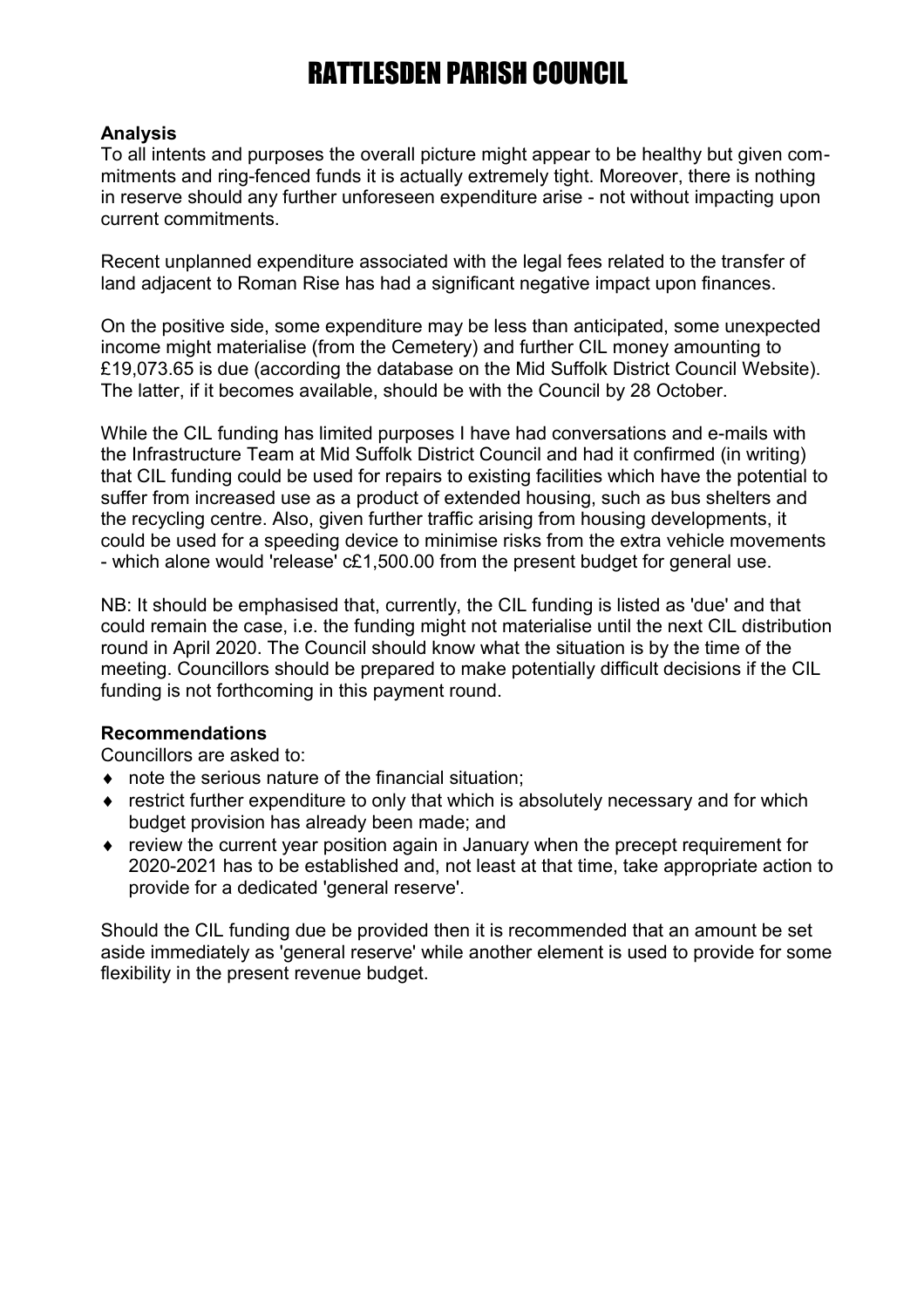## **Analysis**

To all intents and purposes the overall picture might appear to be healthy but given commitments and ring-fenced funds it is actually extremely tight. Moreover, there is nothing in reserve should any further unforeseen expenditure arise - not without impacting upon current commitments.

Recent unplanned expenditure associated with the legal fees related to the transfer of land adjacent to Roman Rise has had a significant negative impact upon finances.

On the positive side, some expenditure may be less than anticipated, some unexpected income might materialise (from the Cemetery) and further CIL money amounting to £19,073.65 is due (according the database on the Mid Suffolk District Council Website). The latter, if it becomes available, should be with the Council by 28 October.

While the CIL funding has limited purposes I have had conversations and e-mails with the Infrastructure Team at Mid Suffolk District Council and had it confirmed (in writing) that CIL funding could be used for repairs to existing facilities which have the potential to suffer from increased use as a product of extended housing, such as bus shelters and the recycling centre. Also, given further traffic arising from housing developments, it could be used for a speeding device to minimise risks from the extra vehicle movements - which alone would 'release' c£1,500.00 from the present budget for general use.

NB: It should be emphasised that, currently, the CIL funding is listed as 'due' and that could remain the case, i.e. the funding might not materialise until the next CIL distribution round in April 2020. The Council should know what the situation is by the time of the meeting. Councillors should be prepared to make potentially difficult decisions if the CIL funding is not forthcoming in this payment round.

### **Recommendations**

Councillors are asked to:

- note the serious nature of the financial situation;
- restrict further expenditure to only that which is absolutely necessary and for which budget provision has already been made; and
- review the current year position again in January when the precept requirement for 2020-2021 has to be established and, not least at that time, take appropriate action to provide for a dedicated 'general reserve'.

Should the CIL funding due be provided then it is recommended that an amount be set aside immediately as 'general reserve' while another element is used to provide for some flexibility in the present revenue budget.